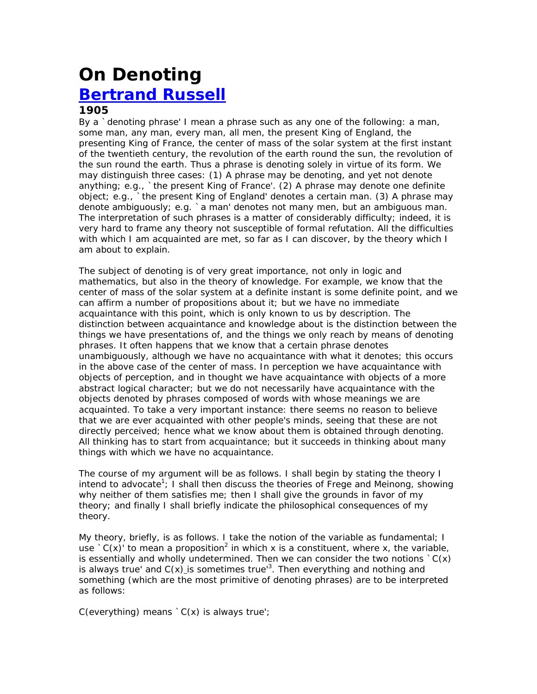## **On Denoting [Bertrand Russell](http://cscs.umich.edu/%7Ecrshalizi/Russell/)**

## **1905**

By a `denoting phrase' I mean a phrase such as any one of the following: a man, some man, any man, every man, all men, the present King of England, the presenting King of France, the center of mass of the solar system at the first instant of the twentieth century, the revolution of the earth round the sun, the revolution of the sun round the earth. Thus a phrase is denoting solely in virtue of its *form.* We may distinguish three cases: (1) A phrase may be denoting, and yet not denote anything; e.g., `the present King of France'. (2) A phrase may denote one definite object; e.g., `the present King of England' denotes a certain man. (3) A phrase may denote ambiguously; e.g. `a man' denotes not many men, but an ambiguous man. The interpretation of such phrases is a matter of considerably difficulty; indeed, it is very hard to frame any theory not susceptible of formal refutation. All the difficulties with which I am acquainted are met, so far as I can discover, by the theory which I am about to explain.

The subject of denoting is of very great importance, not only in logic and mathematics, but also in the theory of knowledge. For example, we know that the center of mass of the solar system at a definite instant is some definite point, and we can affirm a number of propositions about it; but we have no immediate *acquaintance* with this point, which is only known to us by description. The distinction between *acquaintance* and *knowledge about* is the distinction between the things we have presentations of, and the things we only reach by means of denoting phrases. It often happens that we know that a certain phrase denotes unambiguously, although we have no acquaintance with what it denotes; this occurs in the above case of the center of mass. In perception we have acquaintance with objects of perception, and in thought we have acquaintance with objects of a more abstract logical character; but we do not necessarily have acquaintance with the objects denoted by phrases composed of words with whose meanings we are acquainted. To take a very important instance: there seems no reason to believe that we are ever acquainted with other people's minds, seeing that these are not directly perceived; hence what we know about them is obtained through denoting. All thinking has to start from acquaintance; but it succeeds in thinking *about* many things with which we have no acquaintance.

The course of my argument will be as follows. I shall begin by stating the theory I intend to advocate<sup>1</sup>; I shall then discuss the theories of Frege and Meinong, showing why neither of them satisfies me; then I shall give the grounds in favor of my theory; and finally I shall briefly indicate the philosophical consequences of my theory.

My theory, briefly, is as follows. I take the notion of the *variable* as fundamental; I use  $C(x)$  to mean a proposition<sup>2</sup> in which x is a constituent, where x, the variable, is essentially and wholly undetermined. Then we can consider the two notions  $C(x)$ is always true' and *C(x)* is sometimes true'<sup>3</sup> . Then *everything* and *nothing* and *something* (which are the most primitive of denoting phrases) are to be interpreted as follows:

*C*(everything) means  $C(x)$  is always true';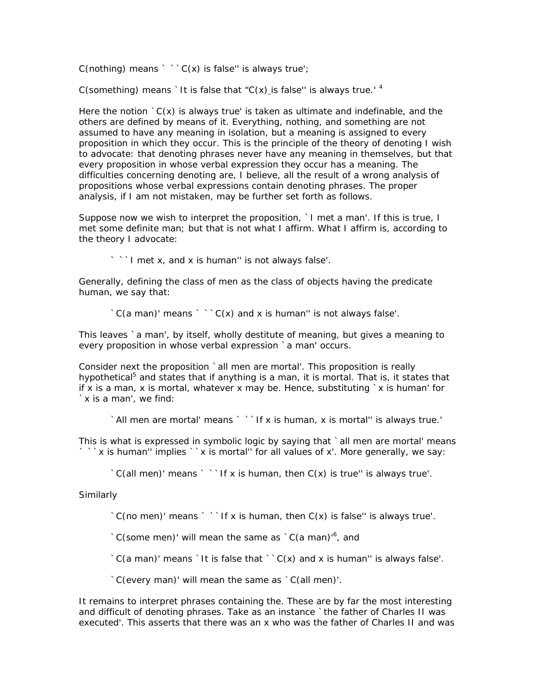*C*(nothing) means ` ` `  $C(x)$  is false" is always true';

*C*(something) means `It is false that  $C(x)$  is false" is always true.'<sup>4</sup>

Here the notion  $\hat{C}(x)$  is always true' is taken as ultimate and indefinable, and the others are defined by means of it. *Everything, nothing,* and *something* are not assumed to have any meaning in isolation, but a meaning is assigned to *every* proposition in which they occur. This is the principle of the theory of denoting I wish to advocate: that denoting phrases never have any meaning in themselves, but that every proposition in whose verbal expression they occur has a meaning. The difficulties concerning denoting are, I believe, all the result of a wrong analysis of propositions whose verbal expressions contain denoting phrases. The proper analysis, if I am not mistaken, may be further set forth as follows.

Suppose now we wish to interpret the proposition, `I met a man'. If this is true, I met some definite man; but that is not what I affirm. What I affirm is, according to the theory I advocate:

` ``I met *x,* and *x* is human'' is not always false'.

Generally, defining the class of men as the class of objects having the predicate *human,* we say that:

 $\hat{C}$ (a man)' means  $\hat{C}$   $\hat{C}$   $\hat{C}$  and *x* is human" is not always false'.

This leaves `a man', by itself, wholly destitute of meaning, but gives a meaning to every proposition in whose verbal expression `a man' occurs.

Consider next the proposition `all men are mortal'. This proposition is really hypothetical<sup>5</sup> and states that *if* anything is a man, it is mortal. That is, it states that if *x* is a man, *x* is mortal, whatever *x* may be. Hence, substituting `*x* is human' for `*x* is a man', we find:

`All men are mortal' means ` ``If *x* is human, *x* is mortal'' is always true.'

This is what is expressed in symbolic logic by saying that `all men are mortal' means ` ``*x* is human'' implies ``*x* is mortal'' for all values of *x*'. More generally, we say:

 $\hat{C}$ (all men)' means  $\sum$  If *x* is human, then  $C(x)$  is true" is always true'.

Similarly

`*C*(no men)' means ` ``If *x* is human, then *C(x)* is false'' is always true'.

`*C*(some men)' will mean the same as `*C*(a man)'<sup>6</sup> , and

`*C*(a man)' means `It is false that ``*C(x)* and *x* is human'' is always false'.

`*C*(every man)' will mean the same as `*C*(all men)'.

It remains to interpret phrases containing *the.* These are by far the most interesting and difficult of denoting phrases. Take as an instance `the father of Charles II was executed'. This asserts that there was an *x* who was the father of Charles II and was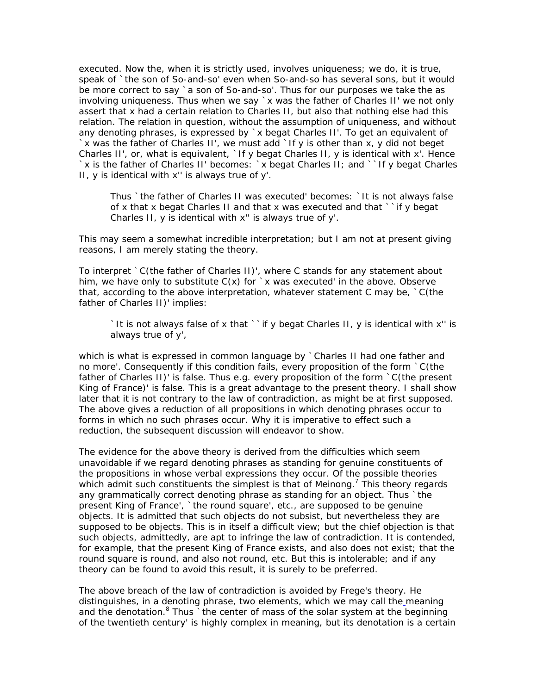executed. Now *the,* when it is strictly used, involves uniqueness; we do, it is true, speak of `*the* son of So-and-so' even when So-and-so has several sons, but it would be more correct to say `*a* son of So-and-so'. Thus for our purposes we take *the* as involving uniqueness. Thus when we say `*x* was *the* father of Charles II' we not only assert that *x* had a certain relation to Charles II, but also that nothing else had this relation. The relation in question, without the assumption of uniqueness, and without any denoting phrases, is expressed by `*x* begat Charles II'. To get an equivalent of `*x* was the father of Charles II', we must add `If *y* is other than *x, y* did not beget Charles II', or, what is equivalent, `If *y* begat Charles II, *y* is identical with *x*'. Hence `*x* is the father of Charles II' becomes: `*x* begat Charles II; and ``If *y* begat Charles II, *y* is identical with *x*'' is always true of *y*'.

Thus `the father of Charles II was executed' becomes: `It is not always false of *x* that *x* begat Charles II and that *x* was executed and that ``if *y* begat Charles II, *y* is identical with *x*'' is always true of *y*'.

This may seem a somewhat incredible interpretation; but I am not at present giving reasons, I am merely *stating* the theory.

To interpret `*C*(the father of Charles II)', where *C* stands for any statement about him, we have only to substitute  $C(x)$  for  $x$  was executed' in the above. Observe that, according to the above interpretation, whatever statement *C* may be, `*C*(the father of Charles II)' implies:

`It is not always false of *x* that ``if *y* begat Charles II, *y* is identical with *x*'' is always true of *y*',

which is what is expressed in common language by `Charles II had one father and no more'. Consequently if this condition fails, *every* proposition of the form `*C*(the father of Charles II)' is false. Thus e.g. every proposition of the form `*C*(the present King of France)' is false. This is a great advantage to the present theory. I shall show later that it is not contrary to the law of contradiction, as might be at first supposed. The above gives a reduction of all propositions in which denoting phrases occur to forms in which no such phrases occur. Why it is imperative to effect such a reduction, the subsequent discussion will endeavor to show.

The evidence for the above theory is derived from the difficulties which seem unavoidable if we regard denoting phrases as standing for genuine constituents of the propositions in whose verbal expressions they occur. Of the possible theories which admit such constituents the simplest is that of Meinong.<sup>7</sup> This theory regards any grammatically correct denoting phrase as standing for an *object.* Thus `the present King of France', `the round square', etc., are supposed to be genuine objects. It is admitted that such objects do not *subsist,* but nevertheless they are supposed to be objects. This is in itself a difficult view; but the chief objection is that such objects, admittedly, are apt to infringe the law of contradiction. It is contended, for example, that the present King of France exists, and also does not exist; that the round square is round, and also not round, etc. But this is intolerable; and if any theory can be found to avoid this result, it is surely to be preferred.

The above breach of the law of contradiction is avoided by Frege's theory. He distinguish[e](http://cscs.umich.edu/%7Ecrshalizi/Russell/denoting/n8.html)s, in a denotin[g](http://cscs.umich.edu/%7Ecrshalizi/Russell/denoting/n8.html) phrase, two elements, which we may call the *meaning* and th[e](http://cscs.umich.edu/%7Ecrshalizi/Russell/denoting/n8.html) *denotation*.<sup>8</sup> Thus `the center of mass of the solar system at the beginning of the twentieth century' is highly complex in *meaning,* but its *denotation* is a certain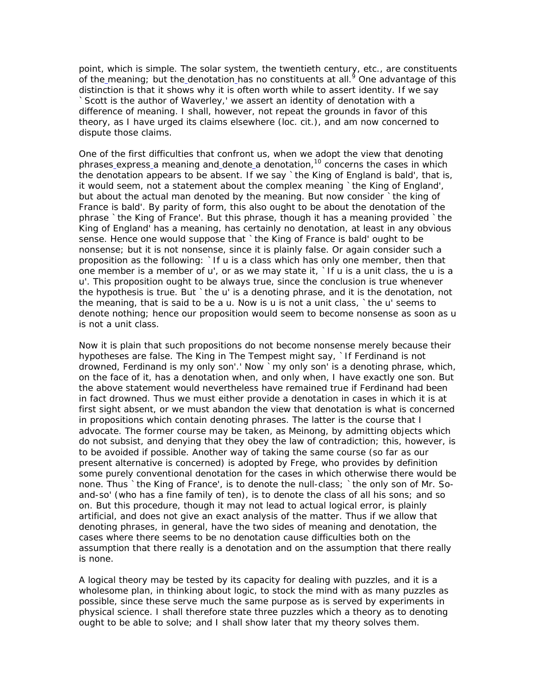point, which is simple. The solar system, the twentieth century, etc., are constituents of th[e](http://cscs.umich.edu/%7Ecrshalizi/Russell/denoting/n9.html) *meaning*; but the *denotation* has no constituents at all.<sup>5</sup> One advantage of this distinction is that it shows why it is often worth while to assert identity. If we say `Scott is the author of Waverley,' we assert an identity of denotation with a difference of meaning. I shall, however, not repeat the grounds in favor of this theory, as I have urged its claims elsewhere (loc. cit.), and am now concerned to dispute those claims.

One of the first difficulties that confront us, when we adopt the view that denoting phras[e](http://cscs.umich.edu/%7Ecrshalizi/Russell/denoting/n10.html)[s](http://cscs.umich.edu/%7Ecrshalizi/Russell/denoting/n10.html) *express* a meaning and *denote* a denotation,<sup>10</sup> concerns the cases in which the denotation appears to be absent. If we say `the King of England is bald', that is, it would seem, not a statement about the complex *meaning* `the King of England', but about the actual man denoted by the meaning. But now consider `the king of France is bald'. By parity of form, this also ought to be about the denotation of the phrase `the King of France'. But this phrase, though it has a *meaning* provided `the King of England' has a meaning, has certainly no denotation, at least in any obvious sense. Hence one would suppose that `the King of France is bald' ought to be nonsense; but it is not nonsense, since it is plainly false. Or again consider such a proposition as the following: `If *u* is a class which has only one member, then that one member is a member of *u*', or as we may state it, `If *u* is a unit class, *the u* is a *u*'. This proposition ought to be *always* true, since the conclusion is true whenever the hypothesis is true. But 'the *u'* is a denoting phrase, and it is the denotation, not the meaning, that is said to be a *u*. Now is *u* is *not* a unit class, `the *u*' seems to denote nothing; hence our proposition would seem to become nonsense as soon as *u* is not a unit class.

Now it is plain that such propositions do *not* become nonsense merely because their hypotheses are false. The King in The Tempest might say, `If Ferdinand is not drowned, Ferdinand is my only son'.' Now `my only son' is a denoting phrase, which, on the face of it, has a denotation when, and only when, I have exactly one son. But the above statement would nevertheless have remained true if Ferdinand had been in fact drowned. Thus we must either provide a denotation in cases in which it is at first sight absent, or we must abandon the view that denotation is what is concerned in propositions which contain denoting phrases. The latter is the course that I advocate. The former course may be taken, as Meinong, by admitting objects which do not subsist, and denying that they obey the law of contradiction; this, however, is to be avoided if possible. Another way of taking the same course (so far as our present alternative is concerned) is adopted by Frege, who provides by definition some purely conventional denotation for the cases in which otherwise there would be none. Thus `the King of France', is to denote the null-class; `the only son of Mr. Soand-so' (who has a fine family of ten), is to denote the class of all his sons; and so on. But this procedure, though it may not lead to actual logical error, is plainly artificial, and does not give an exact analysis of the matter. Thus if we allow that denoting phrases, in general, have the two sides of meaning and denotation, the cases where there seems to be no denotation cause difficulties both on the assumption that there really is a denotation and on the assumption that there really is none.

A logical theory may be tested by its capacity for dealing with puzzles, and it is a wholesome plan, in thinking about logic, to stock the mind with as many puzzles as possible, since these serve much the same purpose as is served by experiments in physical science. I shall therefore state three puzzles which a theory as to denoting ought to be able to solve; and I shall show later that my theory solves them.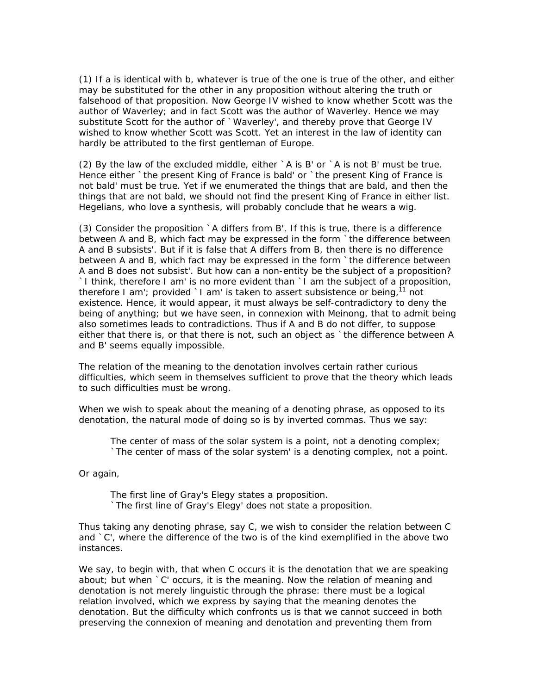(1) If *a* is identical with *b,* whatever is true of the one is true of the other, and either may be substituted for the other in any proposition without altering the truth or falsehood of that proposition. Now George IV wished to know whether Scott was the author of Waverley; and in fact Scott *was* the author of Waverley. Hence we may substitute *Scott* for *the author of `Waverley',* and thereby prove that George IV wished to know whether Scott was Scott. Yet an interest in the law of identity can hardly be attributed to the first gentleman of Europe.

(2) By the law of the excluded middle, either `*A* is *B*' or `*A* is not *B*' must be true. Hence either `the present King of France is bald' or `the present King of France is not bald' must be true. Yet if we enumerated the things that are bald, and then the things that are not bald, we should not find the present King of France in either list. Hegelians, who love a synthesis, will probably conclude that he wears a wig.

(3) Consider the proposition `*A* differs from *B*'. If this is true, there is a difference between *A* and *B,* which fact may be expressed in the form `the difference between *A* and *B* subsists'. But if it is false that *A* differs from *B,* then there is no difference between *A* and *B,* which fact may be expressed in the form `the difference between *A* and *B* does not subsist'. But how can a non-entity be the subject of a proposition? `I think, therefore I am' is no more evident than `I am the subject of a proposition, therefore I am'; provided `I am' is taken to assert subsistence or being, $^{11}$  not existence. Hence, it would appear, it must always be self-contradictory to deny the being of anything; but we have seen, in connexion with Meinong, that to admit being also sometimes leads to contradictions. Thus if *A* and *B* do not differ, to suppose either that there is, or that there is not, such an object as `the difference between *A* and *B*' seems equally impossible.

The relation of the meaning to the denotation involves certain rather curious difficulties, which seem in themselves sufficient to prove that the theory which leads to such difficulties must be wrong.

When we wish to speak about the *meaning* of a denoting phrase, as opposed to its *denotation,* the natural mode of doing so is by inverted commas. Thus we say:

The center of mass of the solar system is a point, not a denoting complex; `The center of mass of the solar system' is a denoting complex, not a point.

Or again,

The first line of Gray's Elegy states a proposition. `The first line of Gray's Elegy' does not state a proposition.

Thus taking any denoting phrase, say *C,* we wish to consider the relation between *C* and `*C*', where the difference of the two is of the kind exemplified in the above two instances.

We say, to begin with, that when *C* occurs it is the *denotation* that we are speaking about; but when `*C*' occurs, it is the *meaning.* Now the relation of meaning and denotation is not merely linguistic through the phrase: there must be a logical relation involved, which we express by saying that the meaning denotes the denotation. But the difficulty which confronts us is that we cannot succeed in *both* preserving the connexion of meaning and denotation *and* preventing them from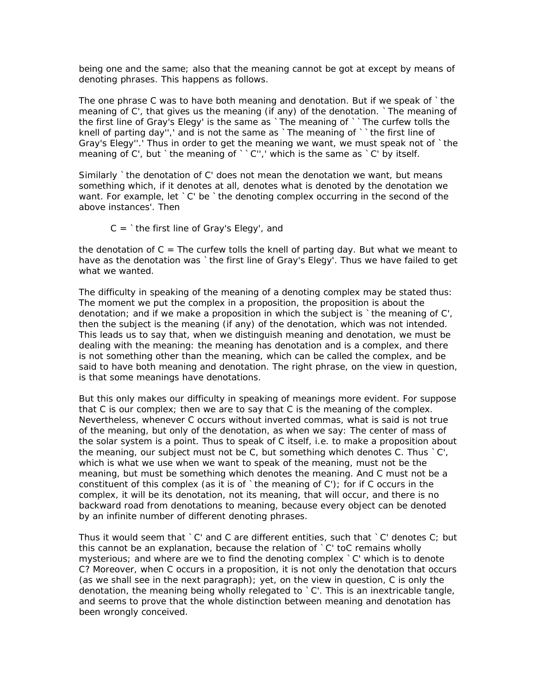being one and the same; also that the meaning cannot be got at except by means of denoting phrases. This happens as follows.

The one phrase *C* was to have both meaning and denotation. But if we speak of `the meaning of *C*', that gives us the meaning (if any) of the denotation. `The meaning of the first line of Gray's Elegy' is the same as `The meaning of ``The curfew tolls the knell of parting day'',' and is not the same as `The meaning of ``the first line of Gray's Elegy''.' Thus in order to get the meaning we want, we must speak not of `the meaning of  $C$ , but 'the meaning of '' $C'$ ',' which is the same as ' $C'$  by itself.

Similarly `the denotation of *C*' does not mean the denotation we want, but means something which, if it denotes at all, denotes what is denoted by the denotation we want. For example, let `*C*' be `the denoting complex occurring in the second of the above instances'. Then

 $C =$  `the first line of Gray's Elegy', and

the denotation of *C* = The curfew tolls the knell of parting day. But what we *meant* to have as the denotation was `the first line of Gray's Elegy'. Thus we have failed to get what we wanted.

The difficulty in speaking of the meaning of a denoting complex may be stated thus: The moment we put the complex in a proposition, the proposition is about the denotation; and if we make a proposition in which the subject is `the meaning of *C*', then the subject is the meaning (if any) of the denotation, which was not intended. This leads us to say that, when we distinguish meaning and denotation, we must be dealing with the meaning: the meaning has denotation and is a complex, and there is not something other than the meaning, which can be called the complex, and be said to *have* both meaning and denotation. The right phrase, on the view in question, is that some meanings have denotations.

But this only makes our difficulty in speaking of meanings more evident. For suppose that *C* is our complex; then we are to say that *C is* the meaning of the complex. Nevertheless, whenever *C* occurs without inverted commas, what is said is not true of the meaning, but only of the denotation, as when we say: The center of mass of the solar system is a point. Thus to speak of *C* itself, i.e. to make a proposition about the meaning, our subject must not be *C,* but something which denotes *C.* Thus `*C*', which is what we use when we want to speak of the meaning, must not be the meaning, but must be something which denotes the meaning. And *C* must not be a constituent of this complex (as it is of  $\dot{\ }$  the meaning of  $C$ ); for if C occurs in the complex, it will be its denotation, not its meaning, that will occur, and there is no backward road from denotations to meaning, because every object can be denoted by an infinite number of different denoting phrases.

Thus it would seem that `*C*' and *C* are different entities, such that `*C*' denotes *C*; but this cannot be an explanation, because the relation of `*C*' to*C* remains wholly mysterious; and where are we to find the denoting complex `*C*' which is to denote *C*? Moreover, when *C* occurs in a proposition, it is not *only* the denotation that occurs (as we shall see in the next paragraph); yet, on the view in question, *C* is only the denotation, the meaning being wholly relegated to `*C*'. This is an inextricable tangle, and seems to prove that the whole distinction between meaning and denotation has been wrongly conceived.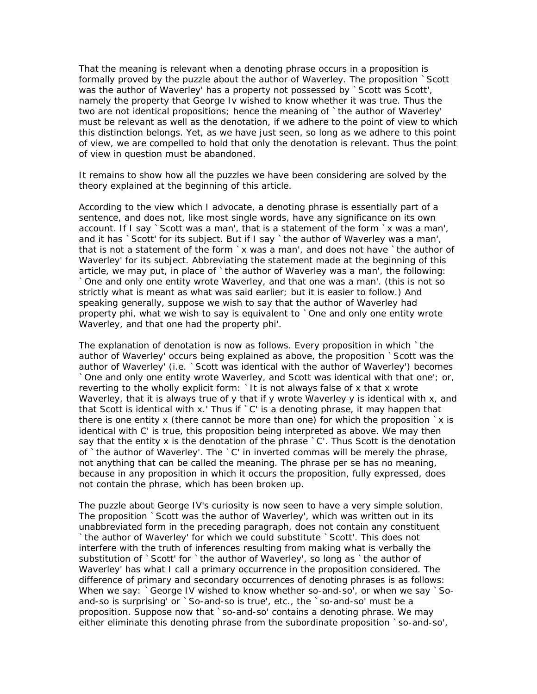That the meaning is relevant when a denoting phrase occurs in a proposition is formally proved by the puzzle about the author of Waverley. The proposition `Scott was the author of Waverley' has a property not possessed by `Scott was Scott', namely the property that George Iv wished to know whether it was true. Thus the two are not identical propositions; hence the meaning of `the author of Waverley' must be relevant as well as the denotation, if we adhere to the point of view to which this distinction belongs. Yet, as we have just seen, so long as we adhere to this point of view, we are compelled to hold that only the denotation is relevant. Thus the point of view in question must be abandoned.

It remains to show how all the puzzles we have been considering are solved by the theory explained at the beginning of this article.

According to the view which I advocate, a denoting phrase is essentially *part* of a sentence, and does not, like most single words, have any significance on its own account. If I say `Scott was a man', that is a statement of the form `*x* was a man', and it has `Scott' for its subject. But if I say `the author of Waverley was a man', that is not a statement of the form `*x* was a man', and does not have `the author of Waverley' for its subject. Abbreviating the statement made at the beginning of this article, we may put, in place of `the author of Waverley was a man', the following: `One and only one entity wrote Waverley, and that one was a man'. (this is not so strictly what is meant as what was said earlier; but it is easier to follow.) And speaking generally, suppose we wish to say that the author of Waverley had property *phi,* what we wish to say is equivalent to `One and only one entity wrote Waverley, and that one had the property *phi*'.

The explanation of *denotation* is now as follows. Every proposition in which `the author of Waverley' occurs being explained as above, the proposition `Scott was the author of Waverley' (i.e. `Scott was identical with the author of Waverley') becomes `One and only one entity wrote Waverley, and Scott was identical with that one'; or, reverting to the wholly explicit form: `It is not always false of *x* that *x* wrote Waverley, that it is always true of *y* that if *y* wrote Waverley *y* is identical with *x,* and that Scott is identical with  $x$ .' Thus if  $\hat{C}$  is a denoting phrase, it may happen that there is one entity  $x$  (there cannot be more than one) for which the proposition  $x$  is identical with *C*' is true, this proposition being interpreted as above. We may then say that the entity *x* is the denotation of the phrase `*C*'. Thus Scott is the denotation of `the author of Waverley'. The `*C*' in inverted commas will be merely the *phrase,* not anything that can be called the *meaning.* The phrase *per se* has no meaning, because in any proposition in which it occurs the proposition, fully expressed, does not contain the phrase, which has been broken up.

The puzzle about George IV's curiosity is now seen to have a very simple solution. The proposition `Scott was the author of Waverley', which was written out in its unabbreviated form in the preceding paragraph, does not contain any constituent `the author of Waverley' for which we could substitute `Scott'. This does not interfere with the truth of inferences resulting from making what is *verbally* the substitution of `Scott' for `the author of Waverley', so long as `the author of Waverley' has what I call a *primary* occurrence in the proposition considered. The difference of primary and secondary occurrences of denoting phrases is as follows: When we say: `George IV wished to know whether so-and-so', or when we say `Soand-so is surprising' or `So-and-so is true', etc., the `so-and-so' must be a proposition. Suppose now that `so-and-so' contains a denoting phrase. We may either eliminate this denoting phrase from the subordinate proposition `so-and-so',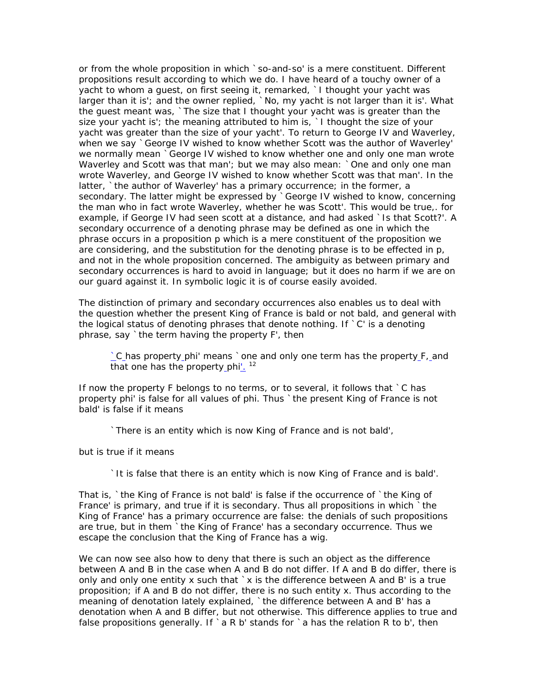or from the whole proposition in which `so-and-so' is a mere constituent. Different propositions result according to which we do. I have heard of a touchy owner of a yacht to whom a guest, on first seeing it, remarked, `I thought your yacht was larger than it is'; and the owner replied, `No, my yacht is not larger than it is'. What the guest meant was, `The size that I thought your yacht was is greater than the size your yacht is'; the meaning attributed to him is, `I thought the size of your yacht was greater than the size of your yacht'. To return to George IV and Waverley, when we say `George IV wished to know whether Scott was the author of Waverley' we normally mean `George IV wished to know whether one and only one man wrote Waverley and Scott was that man'; but we *may* also mean: `One and only one man wrote Waverley, and George IV wished to know whether Scott was that man'. In the latter, `the author of Waverley' has a *primary* occurrence; in the former, a *secondary.* The latter might be expressed by `George IV wished to know, concerning the man who in fact wrote Waverley, whether he was Scott'. This would be true,. for example, if George IV had seen scott at a distance, and had asked `Is that Scott?'. A *secondary* occurrence of a denoting phrase may be defined as one in which the phrase occurs in a proposition *p* which is a mere constituent of the proposition we are considering, and the substitution for the denoting phrase is to be effected in *p,* and not in the whole proposition concerned. The ambiguity as between primary and secondary occurrences is hard to avoid in language; but it does no harm if we are on our guard against it. In symbolic logic it is of course easily avoided.

The distinction of primary and secondary occurrences also enables us to deal with the question whether the present King of France is bald or not bald, and general with the logical status of denoting phrases that denote nothing. If `*C*' is a denoting phrase, say the term having the property  $F$ , then

[`](http://cscs.umich.edu/%7Ecrshalizi/Russell/denoting/n12.html)*[C](http://cscs.umich.edu/%7Ecrshalizi/Russell/denoting/n12.html)* has property *phi*' means `one and only one term has the propert[y](http://cscs.umich.edu/%7Ecrshalizi/Russell/denoting/n12.html) *F[,](http://cscs.umich.edu/%7Ecrshalizi/Russell/denoting/n12.html)* and that one has the propert[y](http://cscs.umich.edu/%7Ecrshalizi/Russell/denoting/n12.html) *phi*['.](http://cscs.umich.edu/%7Ecrshalizi/Russell/denoting/n12.html) <sup>12</sup>

If now the property *F* belongs to no terms, or to several, it follows that `*C* has property *phi*' is false for *all* values of *phi.* Thus `the present King of France is not bald' is false if it means

`There is an entity which is now King of France and is not bald',

but is true if it means

`It is false that there is an entity which is now King of France and is bald'.

That is, `the King of France is not bald' is false if the occurrence of `the King of France' is *primary,* and true if it is *secondary.* Thus all propositions in which `the King of France' has a primary occurrence are false: the denials of such propositions are true, but in them `the King of France' has a secondary occurrence. Thus we escape the conclusion that the King of France has a wig.

We can now see also how to deny that there is such an object as the difference between *A* and *B* in the case when *A* and *B* do not differ. If *A* and *B* do differ, there is only and only one entity *x* such that `*x* is the difference between *A* and *B*' is a true proposition; if *A* and *B* do not differ, there is no such entity *x.* Thus according to the meaning of denotation lately explained, `the difference between *A* and *B*' has a denotation when *A* and *B* differ, but not otherwise. This difference applies to true and false propositions generally. If `*a R b*' stands for `*a* has the relation *R* to *b*', then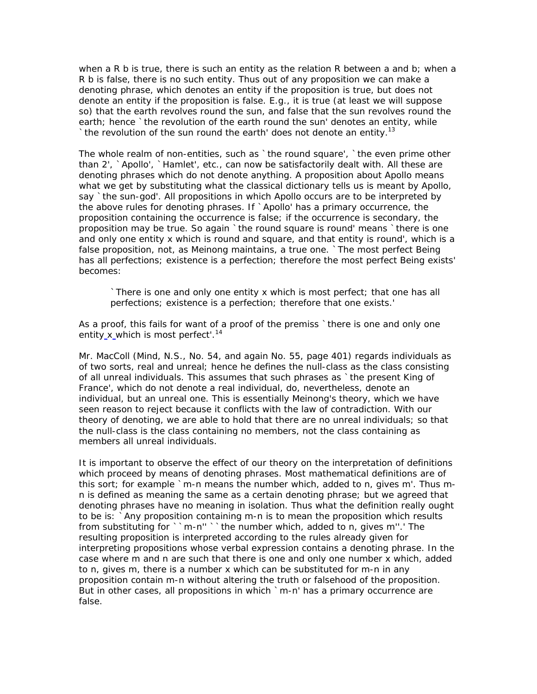when *a R b* is true, there is such an entity as the relation *R* between *a* and *b*; when *a R b* is false, there is no such entity. Thus out of any proposition we can make a denoting phrase, which denotes an entity if the proposition is true, but does not denote an entity if the proposition is false. E.g., it is true (at least we will suppose so) that the earth revolves round the sun, and false that the sun revolves round the earth; hence `the revolution of the earth round the sun' denotes an entity, while `the revolution of the sun round the earth' does not denote an entity.<sup>13</sup>

The whole realm of non-entities, such as `the round square', `the even prime other than 2', `Apollo', `Hamlet', etc., can now be satisfactorily dealt with. All these are denoting phrases which do not denote anything. A proposition about Apollo means what we get by substituting what the classical dictionary tells us is meant by Apollo, say `the sun-god'. All propositions in which Apollo occurs are to be interpreted by the above rules for denoting phrases. If `Apollo' has a primary occurrence, the proposition containing the occurrence is false; if the occurrence is secondary, the proposition may be true. So again `the round square is round' means `there is one and only one entity *x* which is round and square, and that entity is round', which is a false proposition, not, as Meinong maintains, a true one. `The most perfect Being has all perfections; existence is a perfection; therefore the most perfect Being exists' becomes:

`There is one and only one entity *x* which is most perfect; that one has all perfections; existence is a perfection; therefore that one exists.'

As a proof, this fails for want of a proof of the premiss `there is one and only one entity  $x$  [w](http://cscs.umich.edu/%7Ecrshalizi/Russell/denoting/n14.html)hich is most perfect'.<sup>14</sup>

Mr. MacColl (Mind, N.S., No. 54, and again No. 55, page 401) regards individuals as of two sorts, real and unreal; hence he defines the null-class as the class consisting of all unreal individuals. This assumes that such phrases as `the present King of France', which do not denote a real individual, do, nevertheless, denote an individual, but an unreal one. This is essentially Meinong's theory, which we have seen reason to reject because it conflicts with the law of contradiction. With our theory of denoting, we are able to hold that there are no unreal individuals; so that the null-class is the class containing no members, not the class containing as members all unreal individuals.

It is important to observe the effect of our theory on the interpretation of definitions which proceed by means of denoting phrases. Most mathematical definitions are of this sort; for example `*m-n* means the number which, added to *n,* gives *m*'. Thus *mn* is defined as meaning the same as a certain denoting phrase; but we agreed that denoting phrases have no meaning in isolation. Thus what the definition really ought to be is: `Any proposition containing *m-n* is to mean the proposition which results from substituting for ``*m-n*'' ``the number which, added to *n,* gives *m*''.' The resulting proposition is interpreted according to the rules already given for interpreting propositions whose verbal expression contains a denoting phrase. In the case where *m* and *n* are such that there is one and only one number *x* which, added to *n,* gives *m,* there is a number *x* which can be substituted for *m-n* in any proposition contain *m-n* without altering the truth or falsehood of the proposition. But in other cases, all propositions in which `*m-n*' has a primary occurrence are false.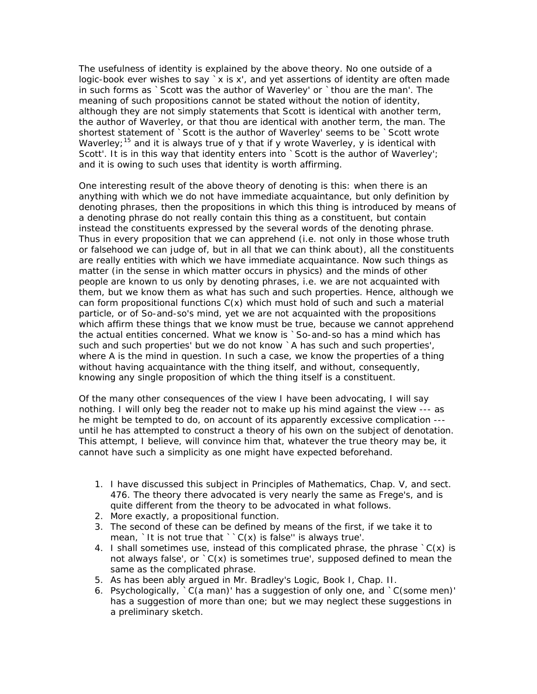The usefulness of *identity* is explained by the above theory. No one outside of a logic-book ever wishes to say `*x* is *x*', and yet assertions of identity are often made in such forms as `Scott was the author of Waverley' or `thou are the man'. The meaning of such propositions cannot be stated without the notion of identity, although they are not simply statements that Scott is identical with another term, the author of Waverley, or that thou are identical with another term, the man. The shortest statement of `Scott is the author of Waverley' seems to be `Scott wrote Waverley;<sup>15</sup> and it is always true of y that if y wrote Waverley, y is identical with Scott'. It is in this way that identity enters into `Scott is the author of Waverley'; and it is owing to such uses that identity is worth affirming.

One interesting result of the above theory of denoting is this: when there is an anything with which we do not have immediate acquaintance, but only definition by denoting phrases, then the propositions in which this thing is introduced by means of a denoting phrase do not really contain this thing as a constituent, but contain instead the constituents expressed by the several words of the denoting phrase. Thus in every proposition that we can apprehend (i.e. not only in those whose truth or falsehood we can judge of, but in all that we can think about), all the constituents are really entities with which we have immediate acquaintance. Now such things as matter (in the sense in which matter occurs in physics) and the minds of other people are known to us only by denoting phrases, i.e. we are not *acquainted* with them, but we know them as what has such and such properties. Hence, although we can form propositional functions  $C(x)$  which must hold of such and such a material particle, or of So-and-so's mind, yet we are not acquainted with the propositions which affirm these things that we know must be true, because we cannot apprehend the actual entities concerned. What we know is `So-and-so has a mind which has such and such properties' but we do not know `*A* has such and such properties', where *A is* the mind in question. In such a case, we know the properties of a thing without having acquaintance with the thing itself, and without, consequently, knowing any single proposition of which the thing itself is a constituent.

Of the many other consequences of the view I have been advocating, I will say nothing. I will only beg the reader not to make up his mind against the view --- as he might be tempted to do, on account of its apparently excessive complication -- until he has attempted to construct a theory of his own on the subject of denotation. This attempt, I believe, will convince him that, whatever the true theory may be, it cannot have such a simplicity as one might have expected beforehand.

- 1. I have discussed this subject in Principles of Mathematics, Chap. V, and sect. 476. The theory there advocated is very nearly the same as Frege's, and is quite different from the theory to be advocated in what follows.
- 2. More exactly, a propositional function.
- 3. The second of these can be defined by means of the first, if we take it to mean, `It is not true that `` $C(x)$  is false" is always true'.
- 4. I shall sometimes use, instead of this complicated phrase, the phrase  $\hat{C}(x)$  is not always false', or `*C(x)* is sometimes true', supposed *defined* to mean the same as the complicated phrase.
- 5. As has been ably argued in Mr. Bradley's Logic, Book I, Chap. II.
- 6. Psychologically, `*C*(a man)' has a suggestion of *only one,* and `*C*(some men)' has a suggestion of *more than one*; but we may neglect these suggestions in a preliminary sketch.